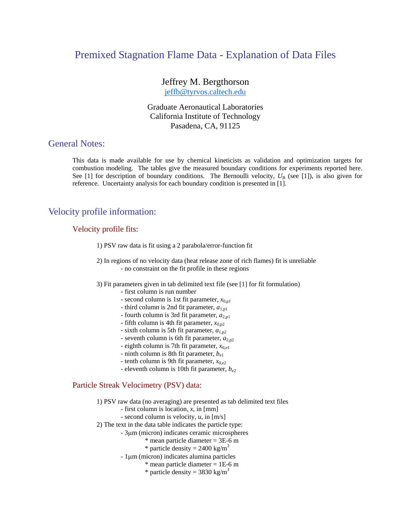# Premixed Stagnation Flame Data - Explanation of Data Files

# Jeffrey M. Bergthorson

jeffb@tyrvos.caltech.edu

Graduate Aeronautical Laboratories California Institute of Technology Pasadena, CA, 91125

## General Notes:

This data is made available for use by chemical kineticists as validation and optimization targets for combustion modeling. The tables give the measured boundary conditions for experiments reported here. See  $[1]$  for description of boundary conditions. The Bernoulli velocity,  $U_B$  (see  $[1]$ ), is also given for reference. Uncertainty analysis for each boundary condition is presented in [1].

## Velocity profile information:

#### Velocity profile fits:

- 1) PSV raw data is fit using a 2 parabola/error-function fit
- 2) In regions of no velocity data (heat release zone of rich flames) fit is unreliable
	- no constraint on the fit profile in these regions
- 3) Fit parameters given in tab delimited text file (see [1] for fit formulation)
	- first column is run number
	- second column is 1st fit parameter,  $x_{0,p1}$
	- third column is 2nd fit parameter,  $a_{1,pl}$
	- fourth column is 3rd fit parameter,  $a_{2,pl}$
	- fifth column is 4th fit parameter,  $x_{0,p2}$
	- sixth column is 5th fit parameter,  $a_{1,p2}$
	- seventh column is 6th fit parameter,  $a_{2,p2}$
	- eighth column is 7th fit parameter,  $x_{0,el}$
	- ninth column is 8th fit parameter,  $b_{e1}$
	- tenth column is 9th fit parameter,  $x_{0,e2}$
	- eleventh column is 10th fit parameter,  $b_{e2}$

#### Particle Streak Velocimetry (PSV) data:

- 1) PSV raw data (no averaging) are presented as tab delimited text files
	- first column is location, *x*, in [mm]
	- second column is velocity, *u*, in [m/s]
- 2) The text in the data table indicates the particle type:
	- 3µm (micron) indicates ceramic microspheres
		- $*$  mean particle diameter = 3E-6 m
			- \* particle density =  $2400 \text{ kg/m}^3$
		- 1µm (micron) indicates alumina particles
			- $*$  mean particle diameter = 1E-6 m
				- \* particle density =  $3830 \text{ kg/m}^3$